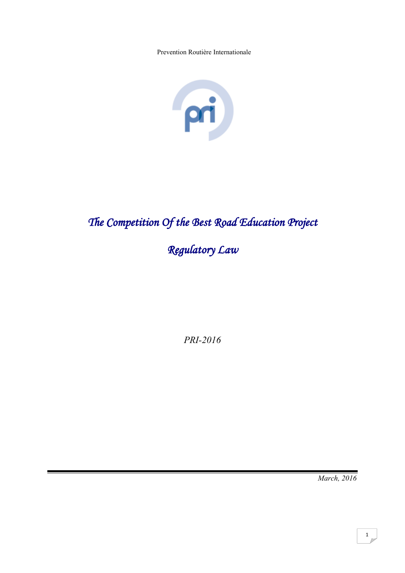Prevention Routière Internationale



# *The Competition Of the Best Road Education Project*

# *Regulatory Law*

*PRI-2016*

*March, 2016*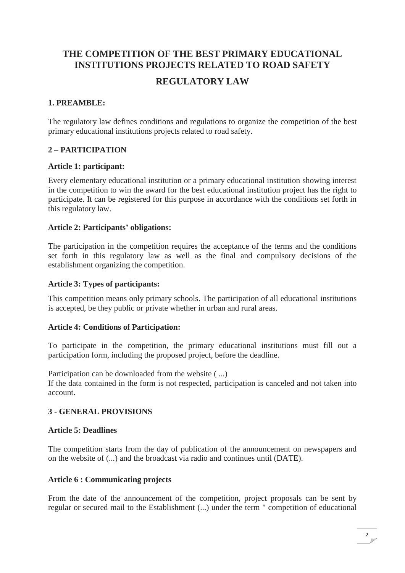# **THE COMPETITION OF THE BEST PRIMARY EDUCATIONAL INSTITUTIONS PROJECTS RELATED TO ROAD SAFETY**

# **REGULATORY LAW**

# **1. PREAMBLE:**

The regulatory law defines conditions and regulations to organize the competition of the best primary educational institutions projects related to road safety.

# **2 – PARTICIPATION**

#### **Article 1: participant:**

Every elementary educational institution or a primary educational institution showing interest in the competition to win the award for the best educational institution project has the right to participate. It can be registered for this purpose in accordance with the conditions set forth in this regulatory law.

#### **Article 2: Participants' obligations:**

The participation in the competition requires the acceptance of the terms and the conditions set forth in this regulatory law as well as the final and compulsory decisions of the establishment organizing the competition.

#### **Article 3: Types of participants:**

This competition means only primary schools. The participation of all educational institutions is accepted, be they public or private whether in urban and rural areas.

## **Article 4: Conditions of Participation:**

To participate in the competition, the primary educational institutions must fill out a participation form, including the proposed project, before the deadline.

Participation can be downloaded from the website ( ...) If the data contained in the form is not respected, participation is canceled and not taken into account.

## **3 - GENERAL PROVISIONS**

#### **Article 5: Deadlines**

The competition starts from the day of publication of the announcement on newspapers and on the website of (...) and the broadcast via radio and continues until (DATE).

#### **Article 6 : Communicating projects**

From the date of the announcement of the competition, project proposals can be sent by regular or secured mail to the Establishment (...) under the term " competition of educational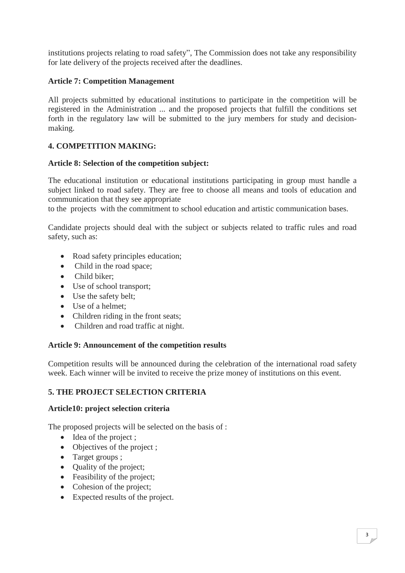institutions projects relating to road safety", The Commission does not take any responsibility for late delivery of the projects received after the deadlines.

## **Article 7: Competition Management**

All projects submitted by educational institutions to participate in the competition will be registered in the Administration ... and the proposed projects that fulfill the conditions set forth in the regulatory law will be submitted to the jury members for study and decisionmaking.

# **4. COMPETITION MAKING:**

#### **Article 8: Selection of the competition subject:**

The educational institution or educational institutions participating in group must handle a subject linked to road safety. They are free to choose all means and tools of education and communication that they see appropriate

to the projects with the commitment to school education and artistic communication bases.

Candidate projects should deal with the subject or subjects related to traffic rules and road safety, such as:

- Road safety principles education;
- Child in the road space;
- Child biker;
- Use of school transport;
- Use the safety belt;
- Use of a helmet:
- Children riding in the front seats;
- Children and road traffic at night.

## **Article 9: Announcement of the competition results**

Competition results will be announced during the celebration of the international road safety week. Each winner will be invited to receive the prize money of institutions on this event.

## **5. THE PROJECT SELECTION CRITERIA**

#### **Article10: project selection criteria**

The proposed projects will be selected on the basis of :

- Idea of the project ;
- Objectives of the project ;
- Target groups ;
- Ouality of the project:
- Feasibility of the project;
- Cohesion of the project;
- Expected results of the project.